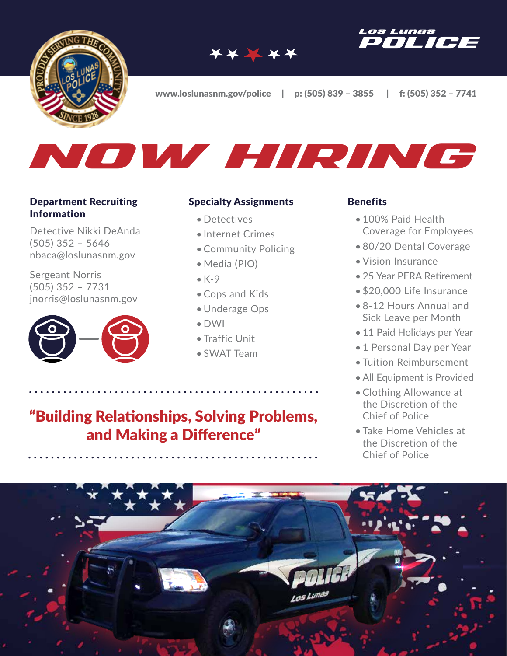





#### Department Recruiting **Information**

Detective Nikki DeAnda (505) 352 – 5646 nbaca@loslunasnm.gov

Sergeant Norris (505) 352 – 7731 jnorris@loslunasnm.gov



#### Specialty Assignments

NOW HIRING

- Detectives
- Internet Crimes
- Community Policing
- Media (PIO)
- $\bullet$  K-9
- Cops and Kids
- Underage Ops
- DWI
- Traffic Unit
- SWAT Team

## "Building Relationships, Solving Problems, and Making a Difference"

#### **Benefits**

• 100% Paid Health Coverage for Employees

POLICE

os Lunas

- 80/20 Dental Coverage
- Vision Insurance
- 25 Year PERA Retirement
- \$20,000 Life Insurance
- 8-12 Hours Annual and Sick Leave per Month
- 11 Paid Holidays per Year
- 1 Personal Day per Year
- Tuition Reimbursement
- All Equipment is Provided
- Clothing Allowance at the Discretion of the Chief of Police
- Take Home Vehicles at the Discretion of the Chief of Police